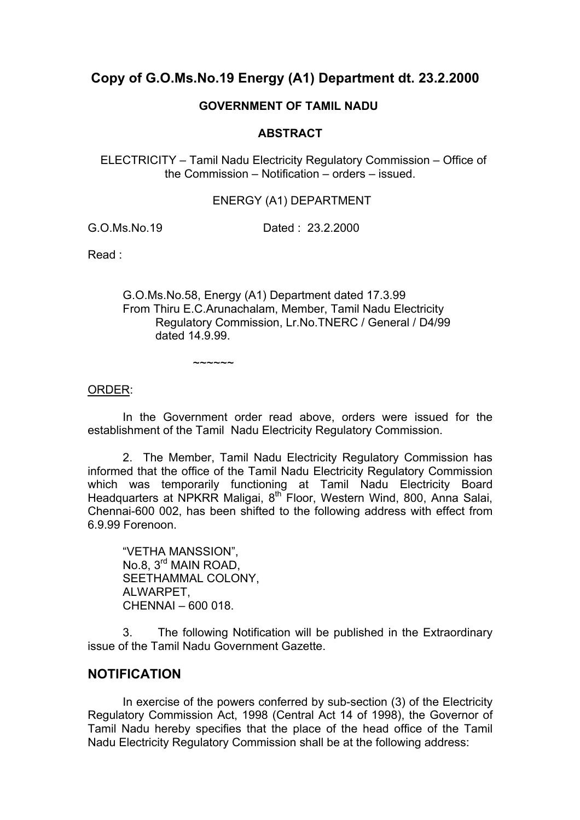# **Copy of G.O.Ms.No.19 Energy (A1) Department dt. 23.2.2000**

### **GOVERNMENT OF TAMIL NADU**

### **ABSTRACT**

 ELECTRICITY – Tamil Nadu Electricity Regulatory Commission – Office of the Commission – Notification – orders – issued.

#### ENERGY (A1) DEPARTMENT

G.O.Ms.No.19 Dated : 23.2.2000

Read :

 G.O.Ms.No.58, Energy (A1) Department dated 17.3.99 From Thiru E.C.Arunachalam, Member, Tamil Nadu Electricity Regulatory Commission, Lr.No.TNERC / General / D4/99 dated 14.9.99.

ORDER:

 In the Government order read above, orders were issued for the establishment of the Tamil Nadu Electricity Regulatory Commission.

 2. The Member, Tamil Nadu Electricity Regulatory Commission has informed that the office of the Tamil Nadu Electricity Regulatory Commission which was temporarily functioning at Tamil Nadu Electricity Board Headquarters at NPKRR Maligai, 8th Floor, Western Wind, 800, Anna Salai, Chennai-600 002, has been shifted to the following address with effect from 6.9.99 Forenoon.

 "VETHA MANSSION", No.8, 3rd MAIN ROAD, SEETHAMMAL COLONY, ALWARPET, CHENNAI – 600 018.

 $~\sim~\sim~\sim~\sim~\sim~$ 

 3. The following Notification will be published in the Extraordinary issue of the Tamil Nadu Government Gazette.

## **NOTIFICATION**

 In exercise of the powers conferred by sub-section (3) of the Electricity Regulatory Commission Act, 1998 (Central Act 14 of 1998), the Governor of Tamil Nadu hereby specifies that the place of the head office of the Tamil Nadu Electricity Regulatory Commission shall be at the following address: